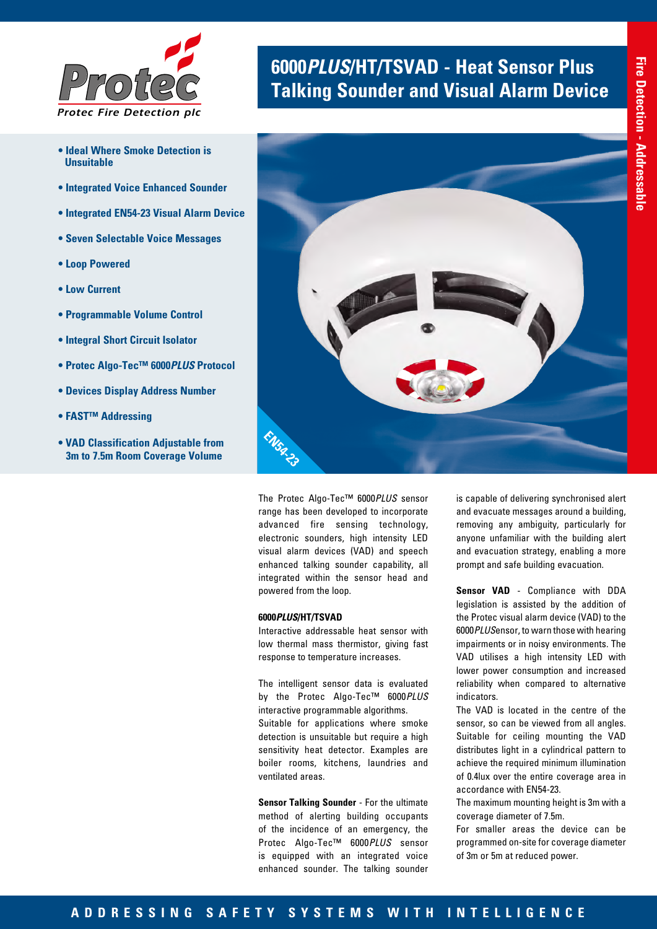

- **Ideal Where Smoke Detection is Unsuitable**
- **Integrated Voice Enhanced Sounder**
- **Integrated EN54-23 Visual Alarm Device**
- **Seven Selectable Voice Messages**
- **Loop Powered**
- **Low Current**
- **Programmable Volume Control**
- **Integral Short Circuit Isolator**
- **Protec Algo-Tec™ 6000***PLUS* **Protocol**
- **Devices Display Address Number**
- **FAST™ Addressing**
- **VAD Classification Adjustable from 3m to 7.5m Room Coverage Volume**

# **<sup>6000</sup>***PLUS***/HT/TSVAD - Heat Sensor Plus** *Protec* **Talking Sounder and Visual Alarm Device**



The Protec Algo-Tec™ 6000*PLUS* sensor range has been developed to incorporate advanced fire sensing technology, electronic sounders, high intensity LED visual alarm devices (VAD) and speech enhanced talking sounder capability, all integrated within the sensor head and powered from the loop.

#### **6000***PLUS***/HT/TSVAD**

Interactive addressable heat sensor with low thermal mass thermistor, giving fast response to temperature increases.

The intelligent sensor data is evaluated by the Protec Algo-Tec™ 6000*PLUS* interactive programmable algorithms. Suitable for applications where smoke detection is unsuitable but require a high sensitivity heat detector. Examples are boiler rooms, kitchens, laundries and ventilated areas.

**Sensor Talking Sounder** - For the ultimate method of alerting building occupants of the incidence of an emergency, the Protec Algo-Tec™ 6000*PLUS* sensor is equipped with an integrated voice enhanced sounder. The talking sounder

is capable of delivering synchronised alert and evacuate messages around a building, removing any ambiguity, particularly for anyone unfamiliar with the building alert and evacuation strategy, enabling a more prompt and safe building evacuation.

**Sensor VAD** - Compliance with DDA legislation is assisted by the addition of the Protec visual alarm device (VAD) to the 6000*PLUS*ensor, to warn those with hearing impairments or in noisy environments. The VAD utilises a high intensity LED with lower power consumption and increased reliability when compared to alternative indicators.

The VAD is located in the centre of the sensor, so can be viewed from all angles. Suitable for ceiling mounting the VAD distributes light in a cylindrical pattern to achieve the required minimum illumination of 0.4lux over the entire coverage area in accordance with EN54-23.

The maximum mounting height is 3m with a coverage diameter of 7.5m.

For smaller areas the device can be programmed on-site for coverage diameter of 3m or 5m at reduced power.